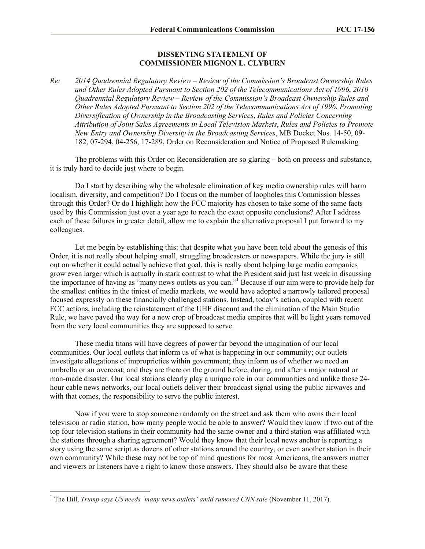## **DISSENTING STATEMENT OF COMMISSIONER MIGNON L. CLYBURN**

*Re: 2014 Quadrennial Regulatory Review – Review of the Commission's Broadcast Ownership Rules and Other Rules Adopted Pursuant to Section 202 of the Telecommunications Act of 1996*, *2010 Quadrennial Regulatory Review – Review of the Commission's Broadcast Ownership Rules and Other Rules Adopted Pursuant to Section 202 of the Telecommunications Act of 1996*, *Promoting Diversification of Ownership in the Broadcasting Services*, *Rules and Policies Concerning Attribution of Joint Sales Agreements in Local Television Markets*, *Rules and Policies to Promote New Entry and Ownership Diversity in the Broadcasting Services*, MB Docket Nos. 14-50, 09- 182, 07-294, 04-256, 17-289, Order on Reconsideration and Notice of Proposed Rulemaking

The problems with this Order on Reconsideration are so glaring – both on process and substance, it is truly hard to decide just where to begin.

Do I start by describing why the wholesale elimination of key media ownership rules will harm localism, diversity, and competition? Do I focus on the number of loopholes this Commission blesses through this Order? Or do I highlight how the FCC majority has chosen to take some of the same facts used by this Commission just over a year ago to reach the exact opposite conclusions? After I address each of these failures in greater detail, allow me to explain the alternative proposal I put forward to my colleagues.

Let me begin by establishing this: that despite what you have been told about the genesis of this Order, it is not really about helping small, struggling broadcasters or newspapers. While the jury is still out on whether it could actually achieve that goal, this is really about helping large media companies grow even larger which is actually in stark contrast to what the President said just last week in discussing the importance of having as "many news outlets as you can."<sup>1</sup> Because if our aim were to provide help for the smallest entities in the tiniest of media markets, we would have adopted a narrowly tailored proposal focused expressly on these financially challenged stations. Instead, today's action, coupled with recent FCC actions, including the reinstatement of the UHF discount and the elimination of the Main Studio Rule, we have paved the way for a new crop of broadcast media empires that will be light years removed from the very local communities they are supposed to serve.

These media titans will have degrees of power far beyond the imagination of our local communities. Our local outlets that inform us of what is happening in our community; our outlets investigate allegations of improprieties within government; they inform us of whether we need an umbrella or an overcoat; and they are there on the ground before, during, and after a major natural or man-made disaster. Our local stations clearly play a unique role in our communities and unlike those 24 hour cable news networks, our local outlets deliver their broadcast signal using the public airwaves and with that comes, the responsibility to serve the public interest.

Now if you were to stop someone randomly on the street and ask them who owns their local television or radio station, how many people would be able to answer? Would they know if two out of the top four television stations in their community had the same owner and a third station was affiliated with the stations through a sharing agreement? Would they know that their local news anchor is reporting a story using the same script as dozens of other stations around the country, or even another station in their own community? While these may not be top of mind questions for most Americans, the answers matter and viewers or listeners have a right to know those answers. They should also be aware that these

l

<sup>&</sup>lt;sup>1</sup> The Hill, *Trump says US needs 'many news outlets' amid rumored CNN sale* (November 11, 2017).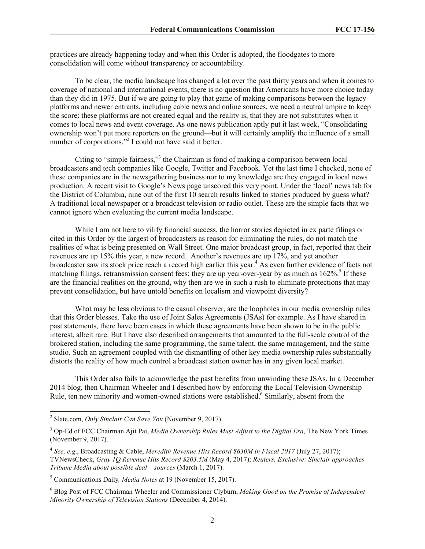practices are already happening today and when this Order is adopted, the floodgates to more consolidation will come without transparency or accountability.

To be clear, the media landscape has changed a lot over the past thirty years and when it comes to coverage of national and international events, there is no question that Americans have more choice today than they did in 1975. But if we are going to play that game of making comparisons between the legacy platforms and newer entrants, including cable news and online sources, we need a neutral umpire to keep the score: these platforms are not created equal and the reality is, that they are not substitutes when it comes to local news and event coverage. As one news publication aptly put it last week, "Consolidating ownership won't put more reporters on the ground—but it will certainly amplify the influence of a small number of corporations."<sup>2</sup> I could not have said it better.

Citing to "simple fairness,"<sup>3</sup> the Chairman is fond of making a comparison between local broadcasters and tech companies like Google, Twitter and Facebook. Yet the last time I checked, none of these companies are in the newsgathering business nor to my knowledge are they engaged in local news production. A recent visit to Google's News page unscored this very point. Under the 'local' news tab for the District of Columbia, nine out of the first 10 search results linked to stories produced by guess what? A traditional local newspaper or a broadcast television or radio outlet. These are the simple facts that we cannot ignore when evaluating the current media landscape.

While I am not here to vilify financial success, the horror stories depicted in ex parte filings or cited in this Order by the largest of broadcasters as reason for eliminating the rules, do not match the realities of what is being presented on Wall Street. One major broadcast group, in fact, reported that their revenues are up 15% this year, a new record. Another's revenues are up 17%, and yet another broadcaster saw its stock price reach a record high earlier this year.<sup>4</sup> As even further evidence of facts not matching filings, retransmission consent fees: they are up year-over-year by as much as  $162\%$ .<sup>5</sup> If these are the financial realities on the ground, why then are we in such a rush to eliminate protections that may prevent consolidation, but have untold benefits on localism and viewpoint diversity?

What may be less obvious to the casual observer, are the loopholes in our media ownership rules that this Order blesses. Take the use of Joint Sales Agreements (JSAs) for example. As I have shared in past statements, there have been cases in which these agreements have been shown to be in the public interest, albeit rare. But I have also described arrangements that amounted to the full-scale control of the brokered station, including the same programming, the same talent, the same management, and the same studio. Such an agreement coupled with the dismantling of other key media ownership rules substantially distorts the reality of how much control a broadcast station owner has in any given local market.

This Order also fails to acknowledge the past benefits from unwinding these JSAs. In a December 2014 blog, then Chairman Wheeler and I described how by enforcing the Local Television Ownership Rule, ten new minority and women-owned stations were established.<sup>6</sup> Similarly, absent from the

 $\overline{\phantom{a}}$ 

<sup>2</sup> Slate.com, *Only Sinclair Can Save You* (November 9, 2017).

<sup>3</sup> Op-Ed of FCC Chairman Ajit Pai, *Media Ownership Rules Must Adjust to the Digital Era*, The New York Times (November 9, 2017).

<sup>4</sup> *See, e.g*., Broadcasting & Cable, *Meredith Revenue Hits Record \$630M in Fiscal 2017* (July 27, 2017); TVNewsCheck, *Gray 1Q Revenue Hits Record \$203.5M* (May 4, 2017); *Reuters, Exclusive: Sinclair approaches Tribune Media about possible deal – sources* (March 1, 2017).

<sup>5</sup> Communications Daily*, Media Notes* at 19 (November 15, 2017).

<sup>6</sup> Blog Post of FCC Chairman Wheeler and Commissioner Clyburn, *Making Good on the Promise of Independent Minority Ownership of Television Stations* (December 4, 2014).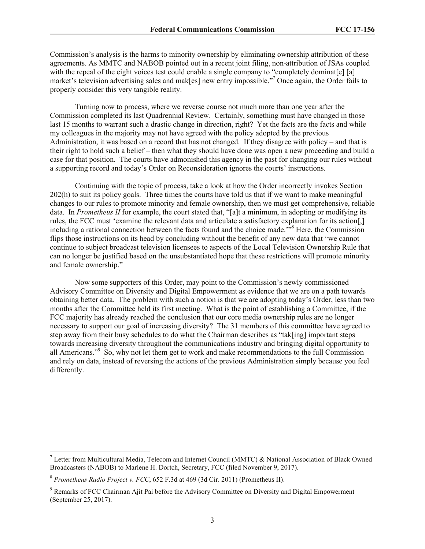Commission's analysis is the harms to minority ownership by eliminating ownership attribution of these agreements. As MMTC and NABOB pointed out in a recent joint filing, non-attribution of JSAs coupled with the repeal of the eight voices test could enable a single company to "completely dominaterel [a] market's television advertising sales and mak[es] new entry impossible."<sup>7</sup> Once again, the Order fails to properly consider this very tangible reality.

Turning now to process, where we reverse course not much more than one year after the Commission completed its last Quadrennial Review. Certainly, something must have changed in those last 15 months to warrant such a drastic change in direction, right? Yet the facts are the facts and while my colleagues in the majority may not have agreed with the policy adopted by the previous Administration, it was based on a record that has not changed. If they disagree with policy – and that is their right to hold such a belief – then what they should have done was open a new proceeding and build a case for that position. The courts have admonished this agency in the past for changing our rules without a supporting record and today's Order on Reconsideration ignores the courts' instructions.

Continuing with the topic of process, take a look at how the Order incorrectly invokes Section 202(h) to suit its policy goals. Three times the courts have told us that if we want to make meaningful changes to our rules to promote minority and female ownership, then we must get comprehensive, reliable data. In *Prometheus II* for example, the court stated that, "[a]t a minimum, in adopting or modifying its rules, the FCC must 'examine the relevant data and articulate a satisfactory explanation for its action[,] including a rational connection between the facts found and the choice made.<sup>358</sup> Here, the Commission flips those instructions on its head by concluding without the benefit of any new data that "we cannot continue to subject broadcast television licensees to aspects of the Local Television Ownership Rule that can no longer be justified based on the unsubstantiated hope that these restrictions will promote minority and female ownership."

Now some supporters of this Order, may point to the Commission's newly commissioned Advisory Committee on Diversity and Digital Empowerment as evidence that we are on a path towards obtaining better data. The problem with such a notion is that we are adopting today's Order, less than two months after the Committee held its first meeting. What is the point of establishing a Committee, if the FCC majority has already reached the conclusion that our core media ownership rules are no longer necessary to support our goal of increasing diversity? The 31 members of this committee have agreed to step away from their busy schedules to do what the Chairman describes as "tak[ing] important steps towards increasing diversity throughout the communications industry and bringing digital opportunity to all Americans."<sup>9</sup> So, why not let them get to work and make recommendations to the full Commission and rely on data, instead of reversing the actions of the previous Administration simply because you feel differently.

l

<sup>&</sup>lt;sup>7</sup> Letter from Multicultural Media, Telecom and Internet Council (MMTC) & National Association of Black Owned Broadcasters (NABOB) to Marlene H. Dortch, Secretary, FCC (filed November 9, 2017).

<sup>8</sup> *Prometheus Radio Project v. FCC*, 652 F.3d at 469 (3d Cir. 2011) (Prometheus II).

<sup>9</sup> Remarks of FCC Chairman Ajit Pai before the Advisory Committee on Diversity and Digital Empowerment (September 25, 2017).